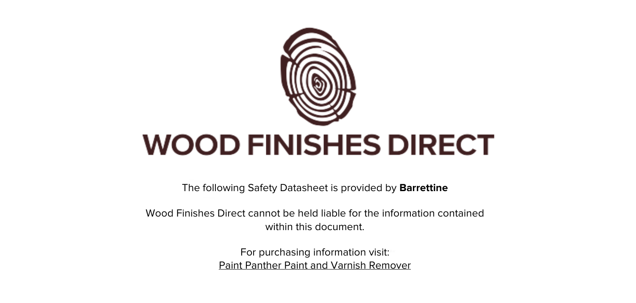

The following Safety Datasheet is provided by **Barrettine**

Wood Finishes Direct cannot be held liable for the information contained within this document.

> For purchasing information visit: [Paint Panther Paint and Varnish Remover](https://www.wood-finishes-direct.com/product/barrettine-paint-panther-paint-varnish-remover)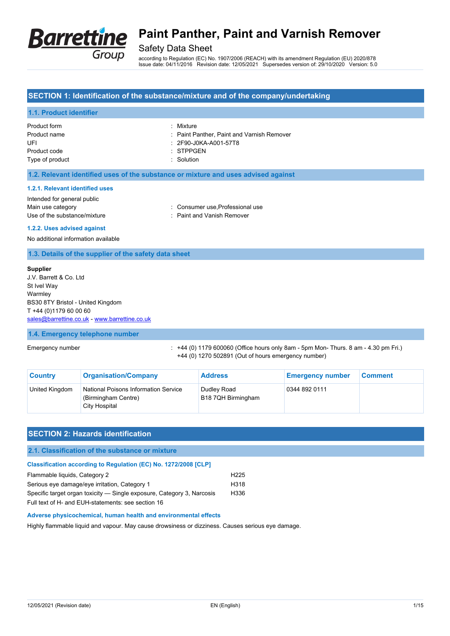

## Safety Data Sheet

according to Regulation (EC) No. 1907/2006 (REACH) with its amendment Regulation (EU) 2020/878 Issue date: 04/11/2016 Revision date: 12/05/2021 Supersedes version of: 29/10/2020 Version: 5.0

### **SECTION 1: Identification of the substance/mixture and of the company/undertaking**

### **1.1. Product identifier**

| Product form    | : Mixture                                  |
|-----------------|--------------------------------------------|
| Product name    | : Paint Panther, Paint and Varnish Remover |
| UFI             | : 2F90-J0KA-A001-57T8                      |
| Product code    | $\therefore$ STPPGEN                       |
| Type of product | $\therefore$ Solution                      |

#### **1.2. Relevant identified uses of the substance or mixture and uses advised against**

#### **1.2.1. Relevant identified uses**

| Intended for general public  |                                 |
|------------------------------|---------------------------------|
| Main use category            | : Consumer use Professional use |
| Use of the substance/mixture | : Paint and Vanish Remover      |

#### **1.2.2. Uses advised against**

No additional information available

#### **1.3. Details of the supplier of the safety data sheet**

#### **Supplier**

| J.V. Barrett & Co. Ltd                        |
|-----------------------------------------------|
| St Ivel Way                                   |
| Warmley                                       |
| BS30 8TY Bristol - United Kingdom             |
| T +44 (0)1179 60 00 60                        |
| sales@barrettine.co.uk - www.barrettine.co.uk |
|                                               |

#### **1.4. Emergency telephone number**

Emergency number : +44 (0) 1179 600060 (Office hours only 8am - 5pm Mon- Thurs. 8 am - 4.30 pm Fri.) +44 (0) 1270 502891 (Out of hours emergency number)

| <b>Country</b> | <b>Organisation/Company</b>                                                  | <b>Address</b>                    | <b>Emergency number</b> | <b>Comment</b> |
|----------------|------------------------------------------------------------------------------|-----------------------------------|-------------------------|----------------|
| United Kingdom | National Poisons Information Service<br>(Birmingham Centre)<br>City Hospital | Dudlev Road<br>B18 7QH Birmingham | 0344 892 0111           |                |

### **SECTION 2: Hazards identification**

#### **2.1. Classification of the substance or mixture**

#### **Classification according to Regulation (EC) No. 1272/2008 [CLP]**

| Flammable liquids, Category 2                                          | H <sub>225</sub> |
|------------------------------------------------------------------------|------------------|
| Serious eye damage/eye irritation, Category 1                          | H318             |
| Specific target organ toxicity — Single exposure, Category 3, Narcosis | H336             |
| Full text of H- and FUH-statements: see section 16                     |                  |

#### **Adverse physicochemical, human health and environmental effects**

Highly flammable liquid and vapour. May cause drowsiness or dizziness. Causes serious eye damage.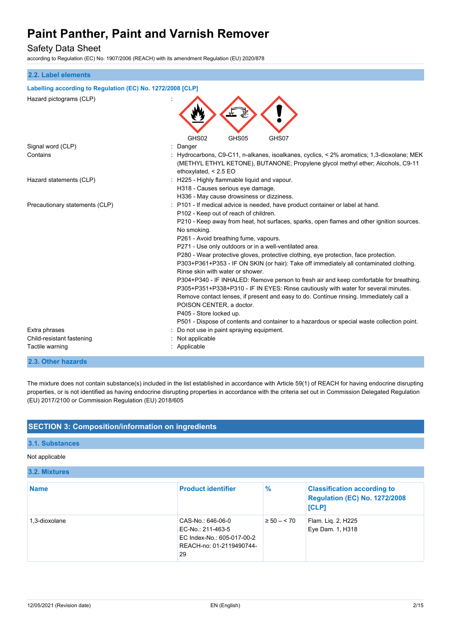## Safety Data Sheet

according to Regulation (EC) No. 1907/2006 (REACH) with its amendment Regulation (EU) 2020/878

| 2.2. Label elements                                        |                                                                                                                                                                                                                                                                                                                                                                                                                                                                                                                                                                                                                                                                                                                                                                                                                                                                                                                                                                                             |  |
|------------------------------------------------------------|---------------------------------------------------------------------------------------------------------------------------------------------------------------------------------------------------------------------------------------------------------------------------------------------------------------------------------------------------------------------------------------------------------------------------------------------------------------------------------------------------------------------------------------------------------------------------------------------------------------------------------------------------------------------------------------------------------------------------------------------------------------------------------------------------------------------------------------------------------------------------------------------------------------------------------------------------------------------------------------------|--|
| Labelling according to Regulation (EC) No. 1272/2008 [CLP] |                                                                                                                                                                                                                                                                                                                                                                                                                                                                                                                                                                                                                                                                                                                                                                                                                                                                                                                                                                                             |  |
| Hazard pictograms (CLP)                                    |                                                                                                                                                                                                                                                                                                                                                                                                                                                                                                                                                                                                                                                                                                                                                                                                                                                                                                                                                                                             |  |
|                                                            | GHS02<br>GHS05<br>GHS07<br>: Danger                                                                                                                                                                                                                                                                                                                                                                                                                                                                                                                                                                                                                                                                                                                                                                                                                                                                                                                                                         |  |
| Signal word (CLP)<br>Contains                              | : Hydrocarbons, C9-C11, n-alkanes, isoalkanes, cyclics, < 2% aromatics; 1,3-dioxolane; MEK<br>(METHYL ETHYL KETONE), BUTANONE; Propylene glycol methyl ether; Alcohols, C9-11<br>ethoxylated, < 2.5 EO                                                                                                                                                                                                                                                                                                                                                                                                                                                                                                                                                                                                                                                                                                                                                                                      |  |
| Hazard statements (CLP)                                    | : H225 - Highly flammable liquid and vapour.<br>H318 - Causes serious eye damage.<br>H336 - May cause drowsiness or dizziness.                                                                                                                                                                                                                                                                                                                                                                                                                                                                                                                                                                                                                                                                                                                                                                                                                                                              |  |
| Precautionary statements (CLP)                             | : P101 - If medical advice is needed, have product container or label at hand.<br>P102 - Keep out of reach of children.<br>P210 - Keep away from heat, hot surfaces, sparks, open flames and other ignition sources.<br>No smoking.<br>P261 - Avoid breathing fume, vapours.<br>P271 - Use only outdoors or in a well-ventilated area.<br>P280 - Wear protective gloves, protective clothing, eye protection, face protection.<br>P303+P361+P353 - IF ON SKIN (or hair): Take off immediately all contaminated clothing.<br>Rinse skin with water or shower.<br>P304+P340 - IF INHALED: Remove person to fresh air and keep comfortable for breathing.<br>P305+P351+P338+P310 - IF IN EYES: Rinse cautiously with water for several minutes.<br>Remove contact lenses, if present and easy to do. Continue rinsing. Immediately call a<br>POISON CENTER, a doctor.<br>P405 - Store locked up.<br>P501 - Dispose of contents and container to a hazardous or special waste collection point. |  |
| Extra phrases                                              | Do not use in paint spraying equipment.                                                                                                                                                                                                                                                                                                                                                                                                                                                                                                                                                                                                                                                                                                                                                                                                                                                                                                                                                     |  |
| Child-resistant fastening<br>Tactile warning               | Not applicable<br>: Applicable                                                                                                                                                                                                                                                                                                                                                                                                                                                                                                                                                                                                                                                                                                                                                                                                                                                                                                                                                              |  |

### **2.3. Other hazards**

The mixture does not contain substance(s) included in the list established in accordance with Article 59(1) of REACH for having endocrine disrupting properties, or is not identified as having endocrine disrupting properties in accordance with the criteria set out in Commission Delegated Regulation (EU) 2017/2100 or Commission Regulation (EU) 2018/605

## **SECTION 3: Composition/information on ingredients**

### **3.1. Substances**

#### Not applicable

#### **3.2. Mixtures**

| <b>Name</b>   | <b>Product identifier</b>                                                                              | $\%$            | <b>Classification according to</b><br><b>Regulation (EC) No. 1272/2008</b><br>[CLP] |
|---------------|--------------------------------------------------------------------------------------------------------|-----------------|-------------------------------------------------------------------------------------|
| 1.3-dioxolane | CAS-No.: 646-06-0<br>EC-No.: 211-463-5<br>EC Index-No.: 605-017-00-2<br>REACH-no: 01-2119490744-<br>29 | $\geq 50 - 570$ | Flam. Lig. 2, H225<br>Eye Dam. 1, H318                                              |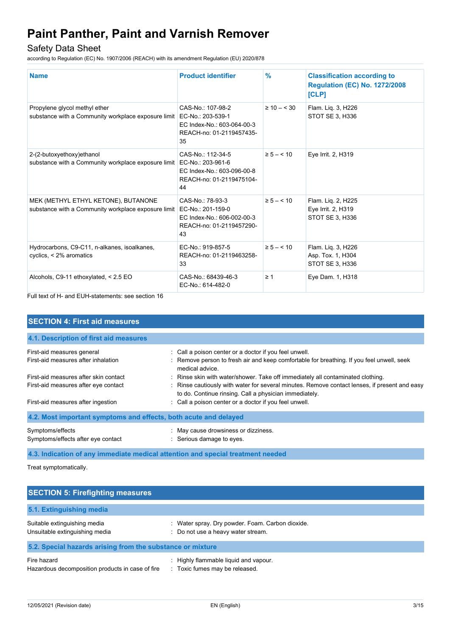## Safety Data Sheet

according to Regulation (EC) No. 1907/2006 (REACH) with its amendment Regulation (EU) 2020/878

| <b>Name</b>                                                                                | <b>Product identifier</b>                                                                              | $\%$            | <b>Classification according to</b><br><b>Regulation (EC) No. 1272/2008</b><br>[CLP] |
|--------------------------------------------------------------------------------------------|--------------------------------------------------------------------------------------------------------|-----------------|-------------------------------------------------------------------------------------|
| Propylene glycol methyl ether<br>substance with a Community workplace exposure limit       | CAS-No.: 107-98-2<br>EC-No.: 203-539-1<br>EC Index-No.: 603-064-00-3<br>REACH-no: 01-2119457435-<br>35 | $\geq 10 - 530$ | Flam. Liq. 3, H226<br>STOT SE 3, H336                                               |
| 2-(2-butoxyethoxy)ethanol<br>substance with a Community workplace exposure limit           | CAS-No.: 112-34-5<br>EC-No.: 203-961-6<br>EC Index-No.: 603-096-00-8<br>REACH-no: 01-2119475104-<br>44 | $\ge 5 - < 10$  | Eye Irrit. 2, H319                                                                  |
| MEK (METHYL ETHYL KETONE), BUTANONE<br>substance with a Community workplace exposure limit | CAS-No.: 78-93-3<br>EC-No.: 201-159-0<br>EC Index-No.: 606-002-00-3<br>REACH-no: 01-2119457290-<br>43  | $\ge 5 - < 10$  | Flam. Liq. 2, H225<br>Eye Irrit. 2, H319<br>STOT SE 3, H336                         |
| Hydrocarbons, C9-C11, n-alkanes, isoalkanes,<br>cyclics, < 2% aromatics                    | EC-No.: 919-857-5<br>REACH-no: 01-2119463258-<br>33                                                    | $\ge 5 - < 10$  | Flam. Liq. 3, H226<br>Asp. Tox. 1, H304<br>STOT SE 3, H336                          |
| Alcohols, C9-11 ethoxylated, < 2.5 EO                                                      | CAS-No.: 68439-46-3<br>EC-No.: 614-482-0                                                               | $\geq 1$        | Eye Dam. 1, H318                                                                    |

Full text of H- and EUH-statements: see section 16

| <b>SECTION 4: First aid measures</b>                                          |                                                                                                                                                                                                                                            |  |
|-------------------------------------------------------------------------------|--------------------------------------------------------------------------------------------------------------------------------------------------------------------------------------------------------------------------------------------|--|
| 4.1. Description of first aid measures                                        |                                                                                                                                                                                                                                            |  |
| First-aid measures general<br>First-aid measures after inhalation             | : Call a poison center or a doctor if you feel unwell.<br>: Remove person to fresh air and keep comfortable for breathing. If you feel unwell, seek<br>medical advice.                                                                     |  |
| First-aid measures after skin contact<br>First-aid measures after eye contact | . Rinse skin with water/shower. Take off immediately all contaminated clothing.<br>: Rinse cautiously with water for several minutes. Remove contact lenses, if present and easy<br>to do. Continue rinsing. Call a physician immediately. |  |
| First-aid measures after ingestion                                            | : Call a poison center or a doctor if you feel unwell.                                                                                                                                                                                     |  |
| 4.2. Most important symptoms and effects, both acute and delayed              |                                                                                                                                                                                                                                            |  |
| Symptoms/effects<br>Symptoms/effects after eye contact                        | : May cause drowsiness or dizziness.<br>: Serious damage to eyes.                                                                                                                                                                          |  |

**4.3. Indication of any immediate medical attention and special treatment needed**

Treat symptomatically.

| <b>SECTION 5: Firefighting measures</b>                         |                                                                                            |  |
|-----------------------------------------------------------------|--------------------------------------------------------------------------------------------|--|
| 5.1. Extinguishing media                                        |                                                                                            |  |
| Suitable extinguishing media<br>Unsuitable extinguishing media  | Water spray. Dry powder. Foam. Carbon dioxide.<br>л.<br>: Do not use a heavy water stream. |  |
| 5.2. Special hazards arising from the substance or mixture      |                                                                                            |  |
| Fire hazard<br>Hazardous decomposition products in case of fire | : Highly flammable liquid and vapour.<br>: Toxic fumes may be released.                    |  |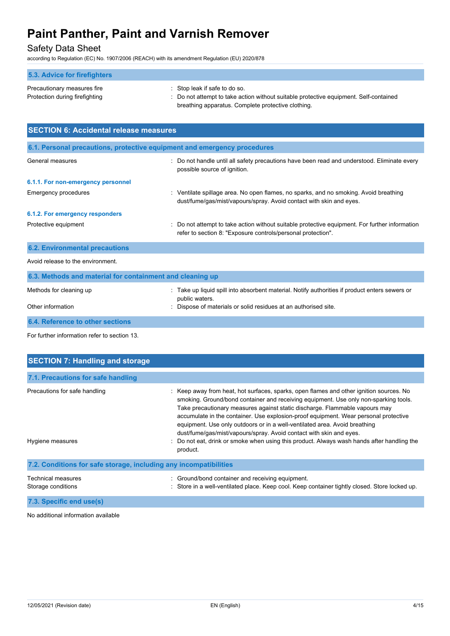## Safety Data Sheet

according to Regulation (EC) No. 1907/2006 (REACH) with its amendment Regulation (EU) 2020/878

| 5.3. Advice for firefighters   |                                                                                       |
|--------------------------------|---------------------------------------------------------------------------------------|
| Precautionary measures fire    | $\therefore$ Stop leak if safe to do so.                                              |
| Protection during firefighting | : Do not attempt to take action without suitable protective equipment. Self-contained |
|                                | breathing apparatus. Complete protective clothing.                                    |

| <b>SECTION 6: Accidental release measures</b>                            |                                                                                                                                                                                   |  |
|--------------------------------------------------------------------------|-----------------------------------------------------------------------------------------------------------------------------------------------------------------------------------|--|
| 6.1. Personal precautions, protective equipment and emergency procedures |                                                                                                                                                                                   |  |
| General measures                                                         | : Do not handle until all safety precautions have been read and understood. Eliminate every<br>possible source of ignition.                                                       |  |
| 6.1.1. For non-emergency personnel                                       |                                                                                                                                                                                   |  |
| <b>Emergency procedures</b>                                              | : Ventilate spillage area. No open flames, no sparks, and no smoking. Avoid breathing<br>dust/fume/gas/mist/vapours/spray. Avoid contact with skin and eyes.                      |  |
| 6.1.2. For emergency responders                                          |                                                                                                                                                                                   |  |
| Protective equipment                                                     | : Do not attempt to take action without suitable protective equipment. For further information<br>refer to section 8: "Exposure controls/personal protection".                    |  |
| <b>6.2. Environmental precautions</b>                                    |                                                                                                                                                                                   |  |
| Avoid release to the environment.                                        |                                                                                                                                                                                   |  |
| 6.3. Methods and material for containment and cleaning up                |                                                                                                                                                                                   |  |
| Methods for cleaning up<br>Other information                             | : Take up liquid spill into absorbent material. Notify authorities if product enters sewers or<br>public waters.<br>Dispose of materials or solid residues at an authorised site. |  |
| 6.4. Reference to other sections                                         |                                                                                                                                                                                   |  |

For further information refer to section 13.

| <b>SECTION 7: Handling and storage</b>                            |                                                                                                                                                                                                                                                                                                                                                                                                                                                                                                                                                                                                                     |
|-------------------------------------------------------------------|---------------------------------------------------------------------------------------------------------------------------------------------------------------------------------------------------------------------------------------------------------------------------------------------------------------------------------------------------------------------------------------------------------------------------------------------------------------------------------------------------------------------------------------------------------------------------------------------------------------------|
| 7.1. Precautions for safe handling                                |                                                                                                                                                                                                                                                                                                                                                                                                                                                                                                                                                                                                                     |
| Precautions for safe handling<br>Hygiene measures                 | : Keep away from heat, hot surfaces, sparks, open flames and other ignition sources. No<br>smoking. Ground/bond container and receiving equipment. Use only non-sparking tools.<br>Take precautionary measures against static discharge. Flammable vapours may<br>accumulate in the container. Use explosion-proof equipment. Wear personal protective<br>equipment. Use only outdoors or in a well-ventilated area. Avoid breathing<br>dust/fume/gas/mist/vapours/spray. Avoid contact with skin and eyes.<br>Do not eat, drink or smoke when using this product. Always wash hands after handling the<br>product. |
| 7.2. Conditions for safe storage, including any incompatibilities |                                                                                                                                                                                                                                                                                                                                                                                                                                                                                                                                                                                                                     |
| <b>Technical measures</b><br>Storage conditions                   | Ground/bond container and receiving equipment.<br>Store in a well-ventilated place. Keep cool. Keep container tightly closed. Store locked up.                                                                                                                                                                                                                                                                                                                                                                                                                                                                      |
| 7.3. Specific end use(s)                                          |                                                                                                                                                                                                                                                                                                                                                                                                                                                                                                                                                                                                                     |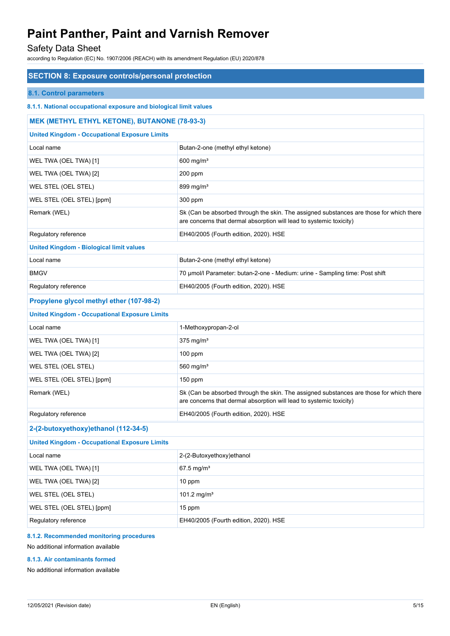## Safety Data Sheet

according to Regulation (EC) No. 1907/2006 (REACH) with its amendment Regulation (EU) 2020/878

| <b>SECTION 8: Exposure controls/personal protection</b>           |                                                                                                                                                                |  |  |
|-------------------------------------------------------------------|----------------------------------------------------------------------------------------------------------------------------------------------------------------|--|--|
| 8.1. Control parameters                                           |                                                                                                                                                                |  |  |
| 8.1.1. National occupational exposure and biological limit values |                                                                                                                                                                |  |  |
| <b>MEK (METHYL ETHYL KETONE), BUTANONE (78-93-3)</b>              |                                                                                                                                                                |  |  |
| <b>United Kingdom - Occupational Exposure Limits</b>              |                                                                                                                                                                |  |  |
| Local name                                                        | Butan-2-one (methyl ethyl ketone)                                                                                                                              |  |  |
| WEL TWA (OEL TWA) [1]                                             | 600 mg/m <sup>3</sup>                                                                                                                                          |  |  |
| WEL TWA (OEL TWA) [2]                                             | 200 ppm                                                                                                                                                        |  |  |
| WEL STEL (OEL STEL)                                               | 899 mg/m <sup>3</sup>                                                                                                                                          |  |  |
| WEL STEL (OEL STEL) [ppm]                                         | 300 ppm                                                                                                                                                        |  |  |
| Remark (WEL)                                                      | Sk (Can be absorbed through the skin. The assigned substances are those for which there<br>are concerns that dermal absorption will lead to systemic toxicity) |  |  |
| Regulatory reference                                              | EH40/2005 (Fourth edition, 2020). HSE                                                                                                                          |  |  |
| <b>United Kingdom - Biological limit values</b>                   |                                                                                                                                                                |  |  |
| Local name                                                        | Butan-2-one (methyl ethyl ketone)                                                                                                                              |  |  |
| <b>BMGV</b>                                                       | 70 µmol/l Parameter: butan-2-one - Medium: urine - Sampling time: Post shift                                                                                   |  |  |
| Regulatory reference                                              | EH40/2005 (Fourth edition, 2020). HSE                                                                                                                          |  |  |
| Propylene glycol methyl ether (107-98-2)                          |                                                                                                                                                                |  |  |
| <b>United Kingdom - Occupational Exposure Limits</b>              |                                                                                                                                                                |  |  |
| Local name                                                        | 1-Methoxypropan-2-ol                                                                                                                                           |  |  |
| WEL TWA (OEL TWA) [1]                                             | $375$ mg/m <sup>3</sup>                                                                                                                                        |  |  |
| WEL TWA (OEL TWA) [2]                                             | $100$ ppm                                                                                                                                                      |  |  |
| WEL STEL (OEL STEL)                                               | 560 $mg/m3$                                                                                                                                                    |  |  |
| WEL STEL (OEL STEL) [ppm]                                         | $150$ ppm                                                                                                                                                      |  |  |
| Remark (WEL)                                                      | Sk (Can be absorbed through the skin. The assigned substances are those for which there<br>are concerns that dermal absorption will lead to systemic toxicity) |  |  |
| Regulatory reference                                              | EH40/2005 (Fourth edition, 2020). HSE                                                                                                                          |  |  |
| 2-(2-butoxyethoxy)ethanol (112-34-5)                              |                                                                                                                                                                |  |  |
| <b>United Kingdom - Occupational Exposure Limits</b>              |                                                                                                                                                                |  |  |
| Local name                                                        | 2-(2-Butoxyethoxy)ethanol                                                                                                                                      |  |  |
| WEL TWA (OEL TWA) [1]                                             | 67.5 mg/ $m^3$                                                                                                                                                 |  |  |
| WEL TWA (OEL TWA) [2]                                             | 10 ppm                                                                                                                                                         |  |  |
| WEL STEL (OEL STEL)                                               | 101.2 mg/m <sup>3</sup>                                                                                                                                        |  |  |
| WEL STEL (OEL STEL) [ppm]                                         | 15 ppm                                                                                                                                                         |  |  |
| Regulatory reference                                              | EH40/2005 (Fourth edition, 2020). HSE                                                                                                                          |  |  |
| 8.1.2. Recommended monitoring procedures                          |                                                                                                                                                                |  |  |

No additional information available

#### **8.1.3. Air contaminants formed**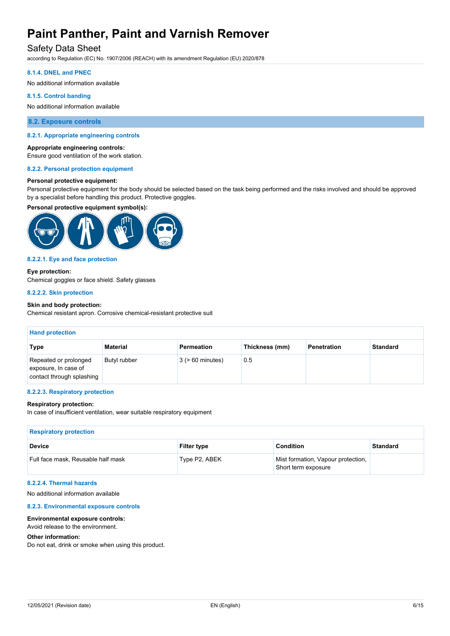## Safety Data Sheet

according to Regulation (EC) No. 1907/2006 (REACH) with its amendment Regulation (EU) 2020/878

#### **8.1.4. DNEL and PNEC**

No additional information available

#### **8.1.5. Control banding**

No additional information available

### **8.2. Exposure controls**

#### **8.2.1. Appropriate engineering controls**

#### **Appropriate engineering controls:**

Ensure good ventilation of the work station.

#### **8.2.2. Personal protection equipment**

#### **Personal protective equipment:**

Personal protective equipment for the body should be selected based on the task being performed and the risks involved and should be approved by a specialist before handling this product. Protective goggles.

#### **Personal protective equipment symbol(s):**



#### **8.2.2.1. Eye and face protection**

#### **Eye protection:**

Chemical goggles or face shield. Safety glasses

#### **8.2.2.2. Skin protection**

#### **Skin and body protection:**

Chemical resistant apron. Corrosive chemical-resistant protective suit

| <b>Hand protection</b>                                                     |              |                       |                |             |                 |
|----------------------------------------------------------------------------|--------------|-----------------------|----------------|-------------|-----------------|
| Type                                                                       | Material     | Permeation            | Thickness (mm) | Penetration | <b>Standard</b> |
| Repeated or prolonged<br>exposure, In case of<br>contact through splashing | Butyl rubber | $3$ ( $> 60$ minutes) | 0.5            |             |                 |

#### **8.2.2.3. Respiratory protection**

#### **Respiratory protection:**

In case of insufficient ventilation, wear suitable respiratory equipment

| <b>Respiratory protection</b>      |                    |                                                           |                 |
|------------------------------------|--------------------|-----------------------------------------------------------|-----------------|
| <b>Device</b>                      | <b>Filter type</b> | Condition                                                 | <b>Standard</b> |
| Full face mask, Reusable half mask | Type P2, ABEK      | Mist formation, Vapour protection,<br>Short term exposure |                 |

#### **8.2.2.4. Thermal hazards**

No additional information available

#### **8.2.3. Environmental exposure controls**

#### **Environmental exposure controls:**

Avoid release to the environment.

#### **Other information:**

Do not eat, drink or smoke when using this product.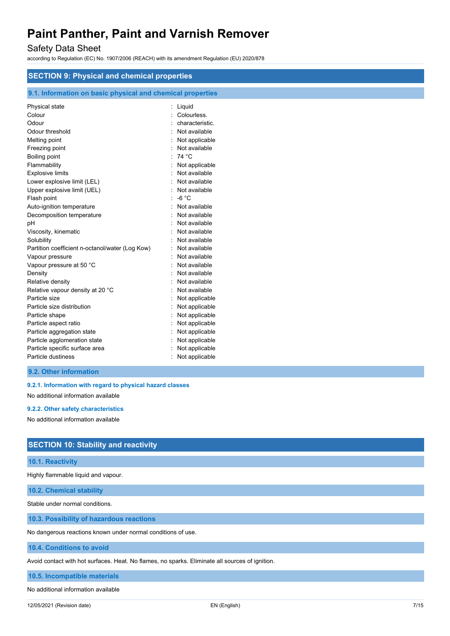## Safety Data Sheet

according to Regulation (EC) No. 1907/2006 (REACH) with its amendment Regulation (EU) 2020/878

| <b>SECTION 9: Physical and chemical properties</b>                                                                                                                                                                                                                                                                                                                                                                                                                                                                |                                                                                                                                                                                                                                                                                                                                                    |  |  |
|-------------------------------------------------------------------------------------------------------------------------------------------------------------------------------------------------------------------------------------------------------------------------------------------------------------------------------------------------------------------------------------------------------------------------------------------------------------------------------------------------------------------|----------------------------------------------------------------------------------------------------------------------------------------------------------------------------------------------------------------------------------------------------------------------------------------------------------------------------------------------------|--|--|
|                                                                                                                                                                                                                                                                                                                                                                                                                                                                                                                   |                                                                                                                                                                                                                                                                                                                                                    |  |  |
|                                                                                                                                                                                                                                                                                                                                                                                                                                                                                                                   |                                                                                                                                                                                                                                                                                                                                                    |  |  |
| 9.1. Information on basic physical and chemical properties<br>Physical state<br>Colour<br>Odour<br>Odour threshold<br>Melting point<br>Freezing point<br>Boiling point<br>Flammability<br><b>Explosive limits</b><br>Lower explosive limit (LEL)<br>Upper explosive limit (UEL)<br>Flash point<br>Auto-ignition temperature<br>Decomposition temperature<br>рH<br>Viscosity, kinematic<br>Solubility<br>Partition coefficient n-octanol/water (Log Kow)<br>Vapour pressure<br>Vapour pressure at 50 °C<br>Density | : Liquid<br>Colourless.<br>characteristic.<br>Not available<br>Not applicable<br>Not available<br>: 74 °C<br>Not applicable<br>Not available<br>Not available<br>Not available<br>$-6 °C$<br>Not available<br>Not available<br>Not available<br>Not available<br>Not available<br>Not available<br>Not available<br>Not available<br>Not available |  |  |
| Relative density<br>Relative vapour density at 20 °C<br>Particle size<br>Particle size distribution<br>Particle shape<br>Particle aspect ratio<br>Particle aggregation state<br>Particle agglomeration state<br>Particle specific surface area<br>Particle dustiness                                                                                                                                                                                                                                              | Not available<br>Not available<br>Not applicable<br>Not applicable<br>Not applicable<br>Not applicable<br>Not applicable<br>Not applicable<br>Not applicable<br>Not applicable                                                                                                                                                                     |  |  |
| 9.2. Other information                                                                                                                                                                                                                                                                                                                                                                                                                                                                                            |                                                                                                                                                                                                                                                                                                                                                    |  |  |

**9.2.1. Information with regard to physical hazard classes**

No additional information available

**9.2.2. Other safety characteristics**

No additional information available

## **SECTION 10: Stability and reactivity**

### **10.1. Reactivity**

Highly flammable liquid and vapour.

**10.2. Chemical stability**

Stable under normal conditions.

**10.3. Possibility of hazardous reactions**

No dangerous reactions known under normal conditions of use.

**10.4. Conditions to avoid**

Avoid contact with hot surfaces. Heat. No flames, no sparks. Eliminate all sources of ignition.

**10.5. Incompatible materials**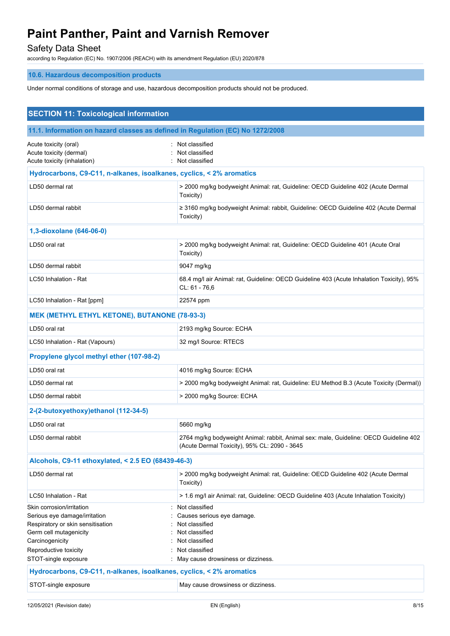## Safety Data Sheet

according to Regulation (EC) No. 1907/2006 (REACH) with its amendment Regulation (EU) 2020/878

## **10.6. Hazardous decomposition products**

Under normal conditions of storage and use, hazardous decomposition products should not be produced.

| <b>SECTION 11: Toxicological information</b>                                                                                                                                                  |                                                                                                                                                            |  |  |
|-----------------------------------------------------------------------------------------------------------------------------------------------------------------------------------------------|------------------------------------------------------------------------------------------------------------------------------------------------------------|--|--|
| 11.1. Information on hazard classes as defined in Regulation (EC) No 1272/2008                                                                                                                |                                                                                                                                                            |  |  |
| Acute toxicity (oral)<br>Acute toxicity (dermal)<br>Acute toxicity (inhalation)                                                                                                               | Not classified<br>Not classified<br>Not classified                                                                                                         |  |  |
| Hydrocarbons, C9-C11, n-alkanes, isoalkanes, cyclics, < 2% aromatics                                                                                                                          |                                                                                                                                                            |  |  |
| LD50 dermal rat                                                                                                                                                                               | > 2000 mg/kg bodyweight Animal: rat, Guideline: OECD Guideline 402 (Acute Dermal<br>Toxicity)                                                              |  |  |
| LD50 dermal rabbit                                                                                                                                                                            | ≥ 3160 mg/kg bodyweight Animal: rabbit, Guideline: OECD Guideline 402 (Acute Dermal<br>Toxicity)                                                           |  |  |
| 1,3-dioxolane (646-06-0)                                                                                                                                                                      |                                                                                                                                                            |  |  |
| LD50 oral rat                                                                                                                                                                                 | > 2000 mg/kg bodyweight Animal: rat, Guideline: OECD Guideline 401 (Acute Oral<br>Toxicity)                                                                |  |  |
| LD50 dermal rabbit                                                                                                                                                                            | 9047 mg/kg                                                                                                                                                 |  |  |
| LC50 Inhalation - Rat                                                                                                                                                                         | 68.4 mg/l air Animal: rat, Guideline: OECD Guideline 403 (Acute Inhalation Toxicity), 95%<br>CL: 61 - 76,6                                                 |  |  |
| LC50 Inhalation - Rat [ppm]                                                                                                                                                                   | 22574 ppm                                                                                                                                                  |  |  |
| <b>MEK (METHYL ETHYL KETONE), BUTANONE (78-93-3)</b>                                                                                                                                          |                                                                                                                                                            |  |  |
| LD50 oral rat                                                                                                                                                                                 | 2193 mg/kg Source: ECHA                                                                                                                                    |  |  |
| LC50 Inhalation - Rat (Vapours)                                                                                                                                                               | 32 mg/l Source: RTECS                                                                                                                                      |  |  |
| Propylene glycol methyl ether (107-98-2)                                                                                                                                                      |                                                                                                                                                            |  |  |
| LD50 oral rat                                                                                                                                                                                 | 4016 mg/kg Source: ECHA                                                                                                                                    |  |  |
| LD50 dermal rat                                                                                                                                                                               | > 2000 mg/kg bodyweight Animal: rat, Guideline: EU Method B.3 (Acute Toxicity (Dermal))                                                                    |  |  |
| LD50 dermal rabbit                                                                                                                                                                            | > 2000 mg/kg Source: ECHA                                                                                                                                  |  |  |
| 2-(2-butoxyethoxy)ethanol (112-34-5)                                                                                                                                                          |                                                                                                                                                            |  |  |
| LD50 oral rat                                                                                                                                                                                 | 5660 mg/kg                                                                                                                                                 |  |  |
| LD50 dermal rabbit                                                                                                                                                                            | 2764 mg/kg bodyweight Animal: rabbit, Animal sex: male, Guideline: OECD Guideline 402<br>(Acute Dermal Toxicity), 95% CL: 2090 - 3645                      |  |  |
| Alcohols, C9-11 ethoxylated, < 2.5 EO (68439-46-3)                                                                                                                                            |                                                                                                                                                            |  |  |
| LD50 dermal rat                                                                                                                                                                               | > 2000 mg/kg bodyweight Animal: rat, Guideline: OECD Guideline 402 (Acute Dermal<br>Toxicity)                                                              |  |  |
| LC50 Inhalation - Rat                                                                                                                                                                         | > 1.6 mg/l air Animal: rat, Guideline: OECD Guideline 403 (Acute Inhalation Toxicity)                                                                      |  |  |
| Skin corrosion/irritation<br>Serious eye damage/irritation<br>Respiratory or skin sensitisation<br>Germ cell mutagenicity<br>Carcinogenicity<br>Reproductive toxicity<br>STOT-single exposure | Not classified<br>Causes serious eye damage.<br>Not classified<br>Not classified<br>Not classified<br>Not classified<br>May cause drowsiness or dizziness. |  |  |
| Hydrocarbons, C9-C11, n-alkanes, isoalkanes, cyclics, < 2% aromatics                                                                                                                          |                                                                                                                                                            |  |  |
| STOT-single exposure                                                                                                                                                                          | May cause drowsiness or dizziness.                                                                                                                         |  |  |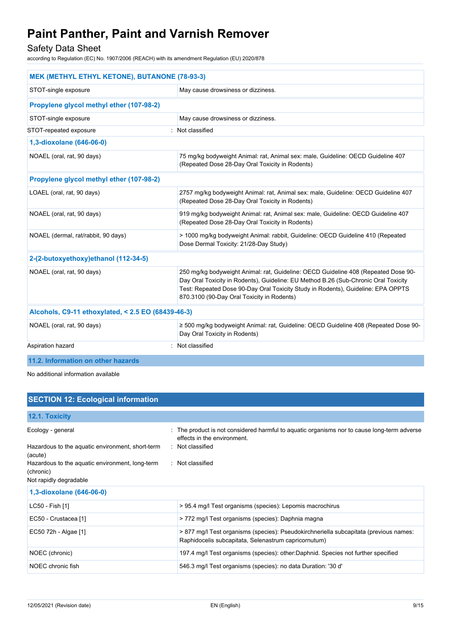## Safety Data Sheet

according to Regulation (EC) No. 1907/2006 (REACH) with its amendment Regulation (EU) 2020/878

| <b>MEK (METHYL ETHYL KETONE), BUTANONE (78-93-3)</b> |                                                                                                                                                                                                                                                                                                             |  |  |
|------------------------------------------------------|-------------------------------------------------------------------------------------------------------------------------------------------------------------------------------------------------------------------------------------------------------------------------------------------------------------|--|--|
| STOT-single exposure                                 | May cause drowsiness or dizziness.                                                                                                                                                                                                                                                                          |  |  |
| Propylene glycol methyl ether (107-98-2)             |                                                                                                                                                                                                                                                                                                             |  |  |
| STOT-single exposure                                 | May cause drowsiness or dizziness.                                                                                                                                                                                                                                                                          |  |  |
| STOT-repeated exposure                               | : Not classified                                                                                                                                                                                                                                                                                            |  |  |
| 1,3-dioxolane (646-06-0)                             |                                                                                                                                                                                                                                                                                                             |  |  |
| NOAEL (oral, rat, 90 days)                           | 75 mg/kg bodyweight Animal: rat, Animal sex: male, Guideline: OECD Guideline 407<br>(Repeated Dose 28-Day Oral Toxicity in Rodents)                                                                                                                                                                         |  |  |
| Propylene glycol methyl ether (107-98-2)             |                                                                                                                                                                                                                                                                                                             |  |  |
| LOAEL (oral, rat, 90 days)                           | 2757 mg/kg bodyweight Animal: rat, Animal sex: male, Guideline: OECD Guideline 407<br>(Repeated Dose 28-Day Oral Toxicity in Rodents)                                                                                                                                                                       |  |  |
| NOAEL (oral, rat, 90 days)                           | 919 mg/kg bodyweight Animal: rat, Animal sex: male, Guideline: OECD Guideline 407<br>(Repeated Dose 28-Day Oral Toxicity in Rodents)                                                                                                                                                                        |  |  |
| NOAEL (dermal, rat/rabbit, 90 days)                  | > 1000 mg/kg bodyweight Animal: rabbit, Guideline: OECD Guideline 410 (Repeated<br>Dose Dermal Toxicity: 21/28-Day Study)                                                                                                                                                                                   |  |  |
| 2-(2-butoxyethoxy)ethanol (112-34-5)                 |                                                                                                                                                                                                                                                                                                             |  |  |
| NOAEL (oral, rat, 90 days)                           | 250 mg/kg bodyweight Animal: rat, Guideline: OECD Guideline 408 (Repeated Dose 90-<br>Day Oral Toxicity in Rodents), Guideline: EU Method B.26 (Sub-Chronic Oral Toxicity<br>Test: Repeated Dose 90-Day Oral Toxicity Study in Rodents), Guideline: EPA OPPTS<br>870.3100 (90-Day Oral Toxicity in Rodents) |  |  |
| Alcohols, C9-11 ethoxylated, < 2.5 EO (68439-46-3)   |                                                                                                                                                                                                                                                                                                             |  |  |
| NOAEL (oral, rat, 90 days)                           | ≥ 500 mg/kg bodyweight Animal: rat, Guideline: OECD Guideline 408 (Repeated Dose 90-<br>Day Oral Toxicity in Rodents)                                                                                                                                                                                       |  |  |
| Aspiration hazard                                    | Not classified                                                                                                                                                                                                                                                                                              |  |  |
| 11.2. Information on other hazards                   |                                                                                                                                                                                                                                                                                                             |  |  |

No additional information available

## **SECTION 12: Ecological information**

## **12.1. Toxicity** Ecology - general states of the product is not considered harmful to aquatic organisms nor to cause long-term adverse effects in the environment. Hazardous to the aquatic environment, short-term (acute) : Not classified Hazardous to the aquatic environment, long-term (chronic) : Not classified Not rapidly degradable **1,3-dioxolane (646-06-0)** LC50 - Fish [1] > 95.4 mg/l Test organisms (species): Lepomis macrochirus EC50 - Crustacea [1] > 772 mg/l Test organisms (species): Daphnia magna EC50 72h - Algae [1] > 877 mg/l Test organisms (species): Pseudokirchneriella subcapitata (previous names: Raphidocelis subcapitata, Selenastrum capricornutum) NOEC (chronic) 197.4 mg/l Test organisms (species): other:Daphnid. Species not further specified NOEC chronic fish 546.3 mg/l Test organisms (species): no data Duration: '30 d'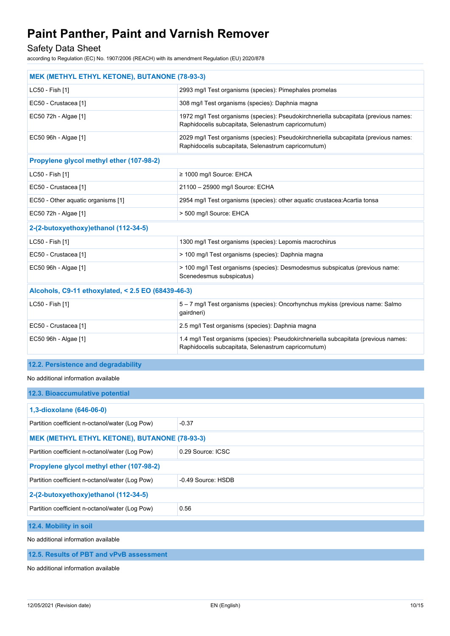Safety Data Sheet

according to Regulation (EC) No. 1907/2006 (REACH) with its amendment Regulation (EU) 2020/878

| MEK (METHYL ETHYL KETONE), BUTANONE (78-93-3)      |                                                                                                                                              |  |  |
|----------------------------------------------------|----------------------------------------------------------------------------------------------------------------------------------------------|--|--|
| LC50 - Fish [1]                                    | 2993 mg/l Test organisms (species): Pimephales promelas                                                                                      |  |  |
| EC50 - Crustacea [1]                               | 308 mg/l Test organisms (species): Daphnia magna                                                                                             |  |  |
| EC50 72h - Algae [1]                               | 1972 mg/l Test organisms (species): Pseudokirchneriella subcapitata (previous names:<br>Raphidocelis subcapitata, Selenastrum capricornutum) |  |  |
| EC50 96h - Algae [1]                               | 2029 mg/l Test organisms (species): Pseudokirchneriella subcapitata (previous names:<br>Raphidocelis subcapitata, Selenastrum capricornutum) |  |  |
| Propylene glycol methyl ether (107-98-2)           |                                                                                                                                              |  |  |
| LC50 - Fish [1]                                    | ≥ 1000 mg/l Source: EHCA                                                                                                                     |  |  |
| EC50 - Crustacea [1]                               | 21100 - 25900 mg/l Source: ECHA                                                                                                              |  |  |
| EC50 - Other aquatic organisms [1]                 | 2954 mg/l Test organisms (species): other aquatic crustacea: Acartia tonsa                                                                   |  |  |
| EC50 72h - Algae [1]                               | > 500 mg/l Source: EHCA                                                                                                                      |  |  |
| 2-(2-butoxyethoxy)ethanol (112-34-5)               |                                                                                                                                              |  |  |
| LC50 - Fish [1]                                    | 1300 mg/l Test organisms (species): Lepomis macrochirus                                                                                      |  |  |
| EC50 - Crustacea [1]                               | > 100 mg/l Test organisms (species): Daphnia magna                                                                                           |  |  |
| EC50 96h - Algae [1]                               | > 100 mg/l Test organisms (species): Desmodesmus subspicatus (previous name:<br>Scenedesmus subspicatus)                                     |  |  |
| Alcohols, C9-11 ethoxylated, < 2.5 EO (68439-46-3) |                                                                                                                                              |  |  |
| LC50 - Fish [1]                                    | 5 - 7 mg/l Test organisms (species): Oncorhynchus mykiss (previous name: Salmo<br>gairdneri)                                                 |  |  |
| EC50 - Crustacea [1]                               | 2.5 mg/l Test organisms (species): Daphnia magna                                                                                             |  |  |
| EC50 96h - Algae [1]                               | 1.4 mg/l Test organisms (species): Pseudokirchneriella subcapitata (previous names:<br>Raphidocelis subcapitata, Selenastrum capricornutum)  |  |  |

#### **12.2. Persistence and degradability**

No additional information available

| 12.3. Bioaccumulative potential                                      |                    |  |  |
|----------------------------------------------------------------------|--------------------|--|--|
| 1,3-dioxolane (646-06-0)                                             |                    |  |  |
| Partition coefficient n-octanol/water (Log Pow)                      | $-0.37$            |  |  |
| <b>MEK (METHYL ETHYL KETONE), BUTANONE (78-93-3)</b>                 |                    |  |  |
| Partition coefficient n-octanol/water (Log Pow)<br>0.29 Source: ICSC |                    |  |  |
| Propylene glycol methyl ether (107-98-2)                             |                    |  |  |
| Partition coefficient n-octanol/water (Log Pow)                      | -0.49 Source: HSDB |  |  |
| 2-(2-butoxyethoxy)ethanol (112-34-5)                                 |                    |  |  |
| Partition coefficient n-octanol/water (Log Pow)<br>0.56              |                    |  |  |
| 12.4. Mobility in soil                                               |                    |  |  |

No additional information available

#### **12.5. Results of PBT and vPvB assessment**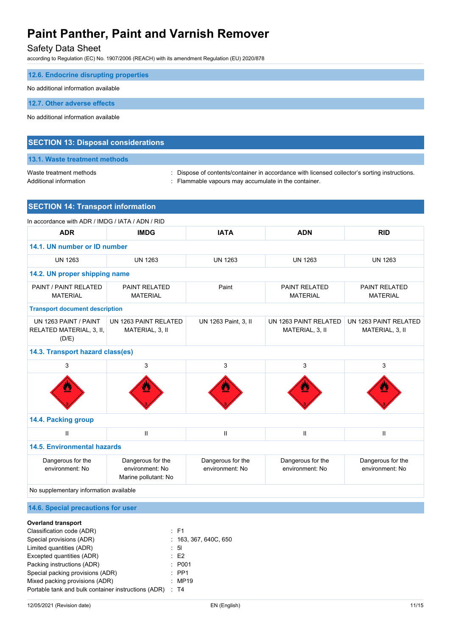## Safety Data Sheet

according to Regulation (EC) No. 1907/2006 (REACH) with its amendment Regulation (EU) 2020/878

| 12.6. Endocrine disrupting properties |  |
|---------------------------------------|--|
| No additional information available   |  |
| 12.7. Other adverse effects           |  |

No additional information available

### **SECTION 13: Disposal considerations**

## **13.1. Waste treatment methods**

Waste treatment methods **interpret on the Content** of Contents/container in accordance with licensed collector's sorting instructions.

Additional information **interest and the container** : Flammable vapours may accumulate in the container.

## **SECTION 14: Transport information**

| In accordance with ADR / IMDG / IATA / ADN / RID           |                                                              |                                      |                                          |                                          |  |
|------------------------------------------------------------|--------------------------------------------------------------|--------------------------------------|------------------------------------------|------------------------------------------|--|
| <b>ADR</b>                                                 | <b>IMDG</b>                                                  | <b>IATA</b>                          | <b>ADN</b>                               | <b>RID</b>                               |  |
| 14.1. UN number or ID number                               |                                                              |                                      |                                          |                                          |  |
| <b>UN 1263</b>                                             | <b>UN 1263</b>                                               | <b>UN 1263</b>                       | <b>UN 1263</b>                           | <b>UN 1263</b>                           |  |
| 14.2. UN proper shipping name                              |                                                              |                                      |                                          |                                          |  |
| PAINT / PAINT RELATED<br><b>MATERIAL</b>                   | PAINT RELATED<br><b>MATERIAL</b>                             | Paint                                | <b>PAINT RELATED</b><br><b>MATERIAL</b>  | PAINT RELATED<br><b>MATERIAL</b>         |  |
| <b>Transport document description</b>                      |                                                              |                                      |                                          |                                          |  |
| UN 1263 PAINT / PAINT<br>RELATED MATERIAL, 3, II,<br>(D/E) | UN 1263 PAINT RELATED<br>MATERIAL, 3, II                     | UN 1263 Paint, 3, II                 | UN 1263 PAINT RELATED<br>MATERIAL, 3, II | UN 1263 PAINT RELATED<br>MATERIAL, 3, II |  |
| 14.3. Transport hazard class(es)                           |                                                              |                                      |                                          |                                          |  |
| 3                                                          | 3                                                            | 3                                    | 3                                        | 3                                        |  |
|                                                            |                                                              |                                      |                                          |                                          |  |
| 14.4. Packing group                                        |                                                              |                                      |                                          |                                          |  |
| Ш                                                          | $\mathbf{I}$                                                 | $\mathbf{I}$                         | $\mathbf{H}$                             | $\mathbf{II}$                            |  |
| <b>14.5. Environmental hazards</b>                         |                                                              |                                      |                                          |                                          |  |
| Dangerous for the<br>environment: No                       | Dangerous for the<br>environment: No<br>Marine pollutant: No | Dangerous for the<br>environment: No | Dangerous for the<br>environment: No     | Dangerous for the<br>environment: No     |  |

No supplementary information available

### **14.6. Special precautions for user**

## **Overland transport**

| Classification code (ADR)                           | $\therefore$ F1       |
|-----------------------------------------------------|-----------------------|
| Special provisions (ADR)                            | : 163, 367, 640C, 650 |
| Limited quantities (ADR)                            | : 51                  |
| Excepted quantities (ADR)                           | E2                    |
| Packing instructions (ADR)                          | : P <sub>001</sub>    |
| Special packing provisions (ADR)                    | $\therefore$ PP1      |
| Mixed packing provisions (ADR)                      | : MP19                |
| Portable tank and bulk container instructions (ADR) | $\therefore$ T4       |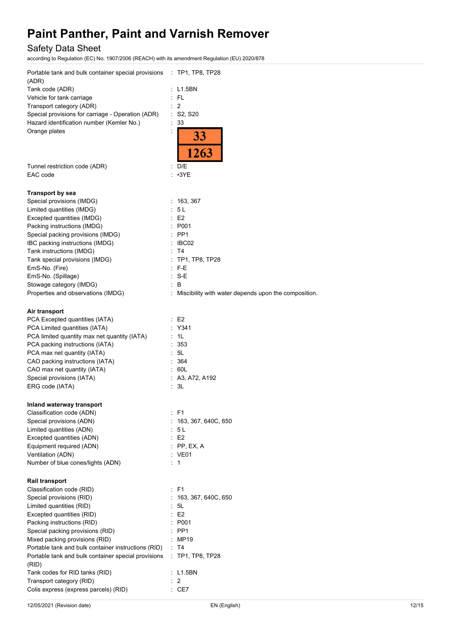## Safety Data Sheet

according to Regulation (EC) No. 1907/2006 (REACH) with its amendment Regulation (EU) 2020/878

| (ADR)<br>Tank code (ADR)<br>: L1.5BN<br>$:$ FL<br>Vehicle for tank carriage<br>$\therefore$ 2<br>Transport category (ADR)<br>Special provisions for carriage - Operation (ADR)<br>$:$ S2, S20<br>Hazard identification number (Kemler No.)<br>$\therefore$ 33<br>Orange plates<br>33<br>1263<br>: D/E<br>Tunnel restriction code (ADR)<br>$: \cdot 3YE$<br>EAC code<br><b>Transport by sea</b><br>Special provisions (IMDG)<br>: 163, 367<br>Limited quantities (IMDG)<br>5 <sub>L</sub><br>E <sub>2</sub><br>Excepted quantities (IMDG)<br>Packing instructions (IMDG)<br>: P001<br>Special packing provisions (IMDG)<br>$\therefore$ PP1<br>: IBC02<br>IBC packing instructions (IMDG)<br>Tank instructions (IMDG)<br>$\therefore$ T4<br>Tank special provisions (IMDG)<br>: TP1, TP8, TP28<br>EmS-No. (Fire)<br>$\therefore$ F-E<br>$: S-E$<br>EmS-No. (Spillage)<br>: B<br>Stowage category (IMDG)<br>Properties and observations (IMDG)<br>: Miscibility with water depends upon the composition.<br>Air transport<br>PCA Excepted quantities (IATA)<br>E2<br>PCA Limited quantities (IATA)<br>: Y341<br>PCA limited quantity max net quantity (IATA)<br>: 1L<br>PCA packing instructions (IATA)<br>353<br>PCA max net quantity (IATA)<br>$\cdot$ 5L<br>CAO packing instructions (IATA)<br>364<br>60L<br>CAO max net quantity (IATA)<br>$\bullet$ .<br>Special provisions (IATA)<br>: A3, A72, A192<br>ERG code (IATA)<br>$\therefore$ 3L<br>Inland waterway transport<br>: F1<br>Classification code (ADN)<br>Special provisions (ADN)<br>163, 367, 640C, 650<br>Limited quantities (ADN)<br>5 <sub>L</sub><br>E <sub>2</sub><br>Excepted quantities (ADN)<br>Equipment required (ADN)<br>$:$ PP, EX, A<br>Ventilation (ADN)<br>: VE01<br>Number of blue cones/lights (ADN)<br>$\therefore$ 1<br><b>Rail transport</b><br>Classification code (RID)<br>$\therefore$ F1<br>Special provisions (RID)<br>163, 367, 640C, 650<br>Limited quantities (RID)<br>5L<br>E <sub>2</sub><br>Excepted quantities (RID)<br>Packing instructions (RID)<br>P001<br>Special packing provisions (RID)<br>PP <sub>1</sub><br>Mixed packing provisions (RID)<br>MP19<br>Portable tank and bulk container instructions (RID)<br>: T4<br>Portable tank and bulk container special provisions<br>$\pm$ TP1, TP8, TP28<br>(RID)<br>Tank codes for RID tanks (RID)<br>: L1.5BN<br>$\overline{2}$<br>Transport category (RID)<br>Colis express (express parcels) (RID)<br>$\therefore$ CE7<br>12/05/2021 (Revision date)<br>EN (English)<br>12/15 | Portable tank and bulk container special provisions : TP1, TP8, TP28 |  |
|--------------------------------------------------------------------------------------------------------------------------------------------------------------------------------------------------------------------------------------------------------------------------------------------------------------------------------------------------------------------------------------------------------------------------------------------------------------------------------------------------------------------------------------------------------------------------------------------------------------------------------------------------------------------------------------------------------------------------------------------------------------------------------------------------------------------------------------------------------------------------------------------------------------------------------------------------------------------------------------------------------------------------------------------------------------------------------------------------------------------------------------------------------------------------------------------------------------------------------------------------------------------------------------------------------------------------------------------------------------------------------------------------------------------------------------------------------------------------------------------------------------------------------------------------------------------------------------------------------------------------------------------------------------------------------------------------------------------------------------------------------------------------------------------------------------------------------------------------------------------------------------------------------------------------------------------------------------------------------------------------------------------------------------------------------------------------------------------------------------------------------------------------------------------------------------------------------------------------------------------------------------------------------------------------------------------------------------------------------------------------------------------------------------------------------------------------------------------------------------------------------------------------------|----------------------------------------------------------------------|--|
|                                                                                                                                                                                                                                                                                                                                                                                                                                                                                                                                                                                                                                                                                                                                                                                                                                                                                                                                                                                                                                                                                                                                                                                                                                                                                                                                                                                                                                                                                                                                                                                                                                                                                                                                                                                                                                                                                                                                                                                                                                                                                                                                                                                                                                                                                                                                                                                                                                                                                                                                |                                                                      |  |
|                                                                                                                                                                                                                                                                                                                                                                                                                                                                                                                                                                                                                                                                                                                                                                                                                                                                                                                                                                                                                                                                                                                                                                                                                                                                                                                                                                                                                                                                                                                                                                                                                                                                                                                                                                                                                                                                                                                                                                                                                                                                                                                                                                                                                                                                                                                                                                                                                                                                                                                                |                                                                      |  |
|                                                                                                                                                                                                                                                                                                                                                                                                                                                                                                                                                                                                                                                                                                                                                                                                                                                                                                                                                                                                                                                                                                                                                                                                                                                                                                                                                                                                                                                                                                                                                                                                                                                                                                                                                                                                                                                                                                                                                                                                                                                                                                                                                                                                                                                                                                                                                                                                                                                                                                                                |                                                                      |  |
|                                                                                                                                                                                                                                                                                                                                                                                                                                                                                                                                                                                                                                                                                                                                                                                                                                                                                                                                                                                                                                                                                                                                                                                                                                                                                                                                                                                                                                                                                                                                                                                                                                                                                                                                                                                                                                                                                                                                                                                                                                                                                                                                                                                                                                                                                                                                                                                                                                                                                                                                |                                                                      |  |
|                                                                                                                                                                                                                                                                                                                                                                                                                                                                                                                                                                                                                                                                                                                                                                                                                                                                                                                                                                                                                                                                                                                                                                                                                                                                                                                                                                                                                                                                                                                                                                                                                                                                                                                                                                                                                                                                                                                                                                                                                                                                                                                                                                                                                                                                                                                                                                                                                                                                                                                                |                                                                      |  |
|                                                                                                                                                                                                                                                                                                                                                                                                                                                                                                                                                                                                                                                                                                                                                                                                                                                                                                                                                                                                                                                                                                                                                                                                                                                                                                                                                                                                                                                                                                                                                                                                                                                                                                                                                                                                                                                                                                                                                                                                                                                                                                                                                                                                                                                                                                                                                                                                                                                                                                                                |                                                                      |  |
|                                                                                                                                                                                                                                                                                                                                                                                                                                                                                                                                                                                                                                                                                                                                                                                                                                                                                                                                                                                                                                                                                                                                                                                                                                                                                                                                                                                                                                                                                                                                                                                                                                                                                                                                                                                                                                                                                                                                                                                                                                                                                                                                                                                                                                                                                                                                                                                                                                                                                                                                |                                                                      |  |
|                                                                                                                                                                                                                                                                                                                                                                                                                                                                                                                                                                                                                                                                                                                                                                                                                                                                                                                                                                                                                                                                                                                                                                                                                                                                                                                                                                                                                                                                                                                                                                                                                                                                                                                                                                                                                                                                                                                                                                                                                                                                                                                                                                                                                                                                                                                                                                                                                                                                                                                                |                                                                      |  |
|                                                                                                                                                                                                                                                                                                                                                                                                                                                                                                                                                                                                                                                                                                                                                                                                                                                                                                                                                                                                                                                                                                                                                                                                                                                                                                                                                                                                                                                                                                                                                                                                                                                                                                                                                                                                                                                                                                                                                                                                                                                                                                                                                                                                                                                                                                                                                                                                                                                                                                                                |                                                                      |  |
|                                                                                                                                                                                                                                                                                                                                                                                                                                                                                                                                                                                                                                                                                                                                                                                                                                                                                                                                                                                                                                                                                                                                                                                                                                                                                                                                                                                                                                                                                                                                                                                                                                                                                                                                                                                                                                                                                                                                                                                                                                                                                                                                                                                                                                                                                                                                                                                                                                                                                                                                |                                                                      |  |
|                                                                                                                                                                                                                                                                                                                                                                                                                                                                                                                                                                                                                                                                                                                                                                                                                                                                                                                                                                                                                                                                                                                                                                                                                                                                                                                                                                                                                                                                                                                                                                                                                                                                                                                                                                                                                                                                                                                                                                                                                                                                                                                                                                                                                                                                                                                                                                                                                                                                                                                                |                                                                      |  |
|                                                                                                                                                                                                                                                                                                                                                                                                                                                                                                                                                                                                                                                                                                                                                                                                                                                                                                                                                                                                                                                                                                                                                                                                                                                                                                                                                                                                                                                                                                                                                                                                                                                                                                                                                                                                                                                                                                                                                                                                                                                                                                                                                                                                                                                                                                                                                                                                                                                                                                                                |                                                                      |  |
|                                                                                                                                                                                                                                                                                                                                                                                                                                                                                                                                                                                                                                                                                                                                                                                                                                                                                                                                                                                                                                                                                                                                                                                                                                                                                                                                                                                                                                                                                                                                                                                                                                                                                                                                                                                                                                                                                                                                                                                                                                                                                                                                                                                                                                                                                                                                                                                                                                                                                                                                |                                                                      |  |
|                                                                                                                                                                                                                                                                                                                                                                                                                                                                                                                                                                                                                                                                                                                                                                                                                                                                                                                                                                                                                                                                                                                                                                                                                                                                                                                                                                                                                                                                                                                                                                                                                                                                                                                                                                                                                                                                                                                                                                                                                                                                                                                                                                                                                                                                                                                                                                                                                                                                                                                                |                                                                      |  |
|                                                                                                                                                                                                                                                                                                                                                                                                                                                                                                                                                                                                                                                                                                                                                                                                                                                                                                                                                                                                                                                                                                                                                                                                                                                                                                                                                                                                                                                                                                                                                                                                                                                                                                                                                                                                                                                                                                                                                                                                                                                                                                                                                                                                                                                                                                                                                                                                                                                                                                                                |                                                                      |  |
|                                                                                                                                                                                                                                                                                                                                                                                                                                                                                                                                                                                                                                                                                                                                                                                                                                                                                                                                                                                                                                                                                                                                                                                                                                                                                                                                                                                                                                                                                                                                                                                                                                                                                                                                                                                                                                                                                                                                                                                                                                                                                                                                                                                                                                                                                                                                                                                                                                                                                                                                |                                                                      |  |
|                                                                                                                                                                                                                                                                                                                                                                                                                                                                                                                                                                                                                                                                                                                                                                                                                                                                                                                                                                                                                                                                                                                                                                                                                                                                                                                                                                                                                                                                                                                                                                                                                                                                                                                                                                                                                                                                                                                                                                                                                                                                                                                                                                                                                                                                                                                                                                                                                                                                                                                                |                                                                      |  |
|                                                                                                                                                                                                                                                                                                                                                                                                                                                                                                                                                                                                                                                                                                                                                                                                                                                                                                                                                                                                                                                                                                                                                                                                                                                                                                                                                                                                                                                                                                                                                                                                                                                                                                                                                                                                                                                                                                                                                                                                                                                                                                                                                                                                                                                                                                                                                                                                                                                                                                                                |                                                                      |  |
|                                                                                                                                                                                                                                                                                                                                                                                                                                                                                                                                                                                                                                                                                                                                                                                                                                                                                                                                                                                                                                                                                                                                                                                                                                                                                                                                                                                                                                                                                                                                                                                                                                                                                                                                                                                                                                                                                                                                                                                                                                                                                                                                                                                                                                                                                                                                                                                                                                                                                                                                |                                                                      |  |
|                                                                                                                                                                                                                                                                                                                                                                                                                                                                                                                                                                                                                                                                                                                                                                                                                                                                                                                                                                                                                                                                                                                                                                                                                                                                                                                                                                                                                                                                                                                                                                                                                                                                                                                                                                                                                                                                                                                                                                                                                                                                                                                                                                                                                                                                                                                                                                                                                                                                                                                                |                                                                      |  |
|                                                                                                                                                                                                                                                                                                                                                                                                                                                                                                                                                                                                                                                                                                                                                                                                                                                                                                                                                                                                                                                                                                                                                                                                                                                                                                                                                                                                                                                                                                                                                                                                                                                                                                                                                                                                                                                                                                                                                                                                                                                                                                                                                                                                                                                                                                                                                                                                                                                                                                                                |                                                                      |  |
|                                                                                                                                                                                                                                                                                                                                                                                                                                                                                                                                                                                                                                                                                                                                                                                                                                                                                                                                                                                                                                                                                                                                                                                                                                                                                                                                                                                                                                                                                                                                                                                                                                                                                                                                                                                                                                                                                                                                                                                                                                                                                                                                                                                                                                                                                                                                                                                                                                                                                                                                |                                                                      |  |
|                                                                                                                                                                                                                                                                                                                                                                                                                                                                                                                                                                                                                                                                                                                                                                                                                                                                                                                                                                                                                                                                                                                                                                                                                                                                                                                                                                                                                                                                                                                                                                                                                                                                                                                                                                                                                                                                                                                                                                                                                                                                                                                                                                                                                                                                                                                                                                                                                                                                                                                                |                                                                      |  |
|                                                                                                                                                                                                                                                                                                                                                                                                                                                                                                                                                                                                                                                                                                                                                                                                                                                                                                                                                                                                                                                                                                                                                                                                                                                                                                                                                                                                                                                                                                                                                                                                                                                                                                                                                                                                                                                                                                                                                                                                                                                                                                                                                                                                                                                                                                                                                                                                                                                                                                                                |                                                                      |  |
|                                                                                                                                                                                                                                                                                                                                                                                                                                                                                                                                                                                                                                                                                                                                                                                                                                                                                                                                                                                                                                                                                                                                                                                                                                                                                                                                                                                                                                                                                                                                                                                                                                                                                                                                                                                                                                                                                                                                                                                                                                                                                                                                                                                                                                                                                                                                                                                                                                                                                                                                |                                                                      |  |
|                                                                                                                                                                                                                                                                                                                                                                                                                                                                                                                                                                                                                                                                                                                                                                                                                                                                                                                                                                                                                                                                                                                                                                                                                                                                                                                                                                                                                                                                                                                                                                                                                                                                                                                                                                                                                                                                                                                                                                                                                                                                                                                                                                                                                                                                                                                                                                                                                                                                                                                                |                                                                      |  |
|                                                                                                                                                                                                                                                                                                                                                                                                                                                                                                                                                                                                                                                                                                                                                                                                                                                                                                                                                                                                                                                                                                                                                                                                                                                                                                                                                                                                                                                                                                                                                                                                                                                                                                                                                                                                                                                                                                                                                                                                                                                                                                                                                                                                                                                                                                                                                                                                                                                                                                                                |                                                                      |  |
|                                                                                                                                                                                                                                                                                                                                                                                                                                                                                                                                                                                                                                                                                                                                                                                                                                                                                                                                                                                                                                                                                                                                                                                                                                                                                                                                                                                                                                                                                                                                                                                                                                                                                                                                                                                                                                                                                                                                                                                                                                                                                                                                                                                                                                                                                                                                                                                                                                                                                                                                |                                                                      |  |
|                                                                                                                                                                                                                                                                                                                                                                                                                                                                                                                                                                                                                                                                                                                                                                                                                                                                                                                                                                                                                                                                                                                                                                                                                                                                                                                                                                                                                                                                                                                                                                                                                                                                                                                                                                                                                                                                                                                                                                                                                                                                                                                                                                                                                                                                                                                                                                                                                                                                                                                                |                                                                      |  |
|                                                                                                                                                                                                                                                                                                                                                                                                                                                                                                                                                                                                                                                                                                                                                                                                                                                                                                                                                                                                                                                                                                                                                                                                                                                                                                                                                                                                                                                                                                                                                                                                                                                                                                                                                                                                                                                                                                                                                                                                                                                                                                                                                                                                                                                                                                                                                                                                                                                                                                                                |                                                                      |  |
|                                                                                                                                                                                                                                                                                                                                                                                                                                                                                                                                                                                                                                                                                                                                                                                                                                                                                                                                                                                                                                                                                                                                                                                                                                                                                                                                                                                                                                                                                                                                                                                                                                                                                                                                                                                                                                                                                                                                                                                                                                                                                                                                                                                                                                                                                                                                                                                                                                                                                                                                |                                                                      |  |
|                                                                                                                                                                                                                                                                                                                                                                                                                                                                                                                                                                                                                                                                                                                                                                                                                                                                                                                                                                                                                                                                                                                                                                                                                                                                                                                                                                                                                                                                                                                                                                                                                                                                                                                                                                                                                                                                                                                                                                                                                                                                                                                                                                                                                                                                                                                                                                                                                                                                                                                                |                                                                      |  |
|                                                                                                                                                                                                                                                                                                                                                                                                                                                                                                                                                                                                                                                                                                                                                                                                                                                                                                                                                                                                                                                                                                                                                                                                                                                                                                                                                                                                                                                                                                                                                                                                                                                                                                                                                                                                                                                                                                                                                                                                                                                                                                                                                                                                                                                                                                                                                                                                                                                                                                                                |                                                                      |  |
|                                                                                                                                                                                                                                                                                                                                                                                                                                                                                                                                                                                                                                                                                                                                                                                                                                                                                                                                                                                                                                                                                                                                                                                                                                                                                                                                                                                                                                                                                                                                                                                                                                                                                                                                                                                                                                                                                                                                                                                                                                                                                                                                                                                                                                                                                                                                                                                                                                                                                                                                |                                                                      |  |
|                                                                                                                                                                                                                                                                                                                                                                                                                                                                                                                                                                                                                                                                                                                                                                                                                                                                                                                                                                                                                                                                                                                                                                                                                                                                                                                                                                                                                                                                                                                                                                                                                                                                                                                                                                                                                                                                                                                                                                                                                                                                                                                                                                                                                                                                                                                                                                                                                                                                                                                                |                                                                      |  |
|                                                                                                                                                                                                                                                                                                                                                                                                                                                                                                                                                                                                                                                                                                                                                                                                                                                                                                                                                                                                                                                                                                                                                                                                                                                                                                                                                                                                                                                                                                                                                                                                                                                                                                                                                                                                                                                                                                                                                                                                                                                                                                                                                                                                                                                                                                                                                                                                                                                                                                                                |                                                                      |  |
|                                                                                                                                                                                                                                                                                                                                                                                                                                                                                                                                                                                                                                                                                                                                                                                                                                                                                                                                                                                                                                                                                                                                                                                                                                                                                                                                                                                                                                                                                                                                                                                                                                                                                                                                                                                                                                                                                                                                                                                                                                                                                                                                                                                                                                                                                                                                                                                                                                                                                                                                |                                                                      |  |
|                                                                                                                                                                                                                                                                                                                                                                                                                                                                                                                                                                                                                                                                                                                                                                                                                                                                                                                                                                                                                                                                                                                                                                                                                                                                                                                                                                                                                                                                                                                                                                                                                                                                                                                                                                                                                                                                                                                                                                                                                                                                                                                                                                                                                                                                                                                                                                                                                                                                                                                                |                                                                      |  |
|                                                                                                                                                                                                                                                                                                                                                                                                                                                                                                                                                                                                                                                                                                                                                                                                                                                                                                                                                                                                                                                                                                                                                                                                                                                                                                                                                                                                                                                                                                                                                                                                                                                                                                                                                                                                                                                                                                                                                                                                                                                                                                                                                                                                                                                                                                                                                                                                                                                                                                                                |                                                                      |  |
|                                                                                                                                                                                                                                                                                                                                                                                                                                                                                                                                                                                                                                                                                                                                                                                                                                                                                                                                                                                                                                                                                                                                                                                                                                                                                                                                                                                                                                                                                                                                                                                                                                                                                                                                                                                                                                                                                                                                                                                                                                                                                                                                                                                                                                                                                                                                                                                                                                                                                                                                |                                                                      |  |
|                                                                                                                                                                                                                                                                                                                                                                                                                                                                                                                                                                                                                                                                                                                                                                                                                                                                                                                                                                                                                                                                                                                                                                                                                                                                                                                                                                                                                                                                                                                                                                                                                                                                                                                                                                                                                                                                                                                                                                                                                                                                                                                                                                                                                                                                                                                                                                                                                                                                                                                                |                                                                      |  |
|                                                                                                                                                                                                                                                                                                                                                                                                                                                                                                                                                                                                                                                                                                                                                                                                                                                                                                                                                                                                                                                                                                                                                                                                                                                                                                                                                                                                                                                                                                                                                                                                                                                                                                                                                                                                                                                                                                                                                                                                                                                                                                                                                                                                                                                                                                                                                                                                                                                                                                                                |                                                                      |  |
|                                                                                                                                                                                                                                                                                                                                                                                                                                                                                                                                                                                                                                                                                                                                                                                                                                                                                                                                                                                                                                                                                                                                                                                                                                                                                                                                                                                                                                                                                                                                                                                                                                                                                                                                                                                                                                                                                                                                                                                                                                                                                                                                                                                                                                                                                                                                                                                                                                                                                                                                |                                                                      |  |
|                                                                                                                                                                                                                                                                                                                                                                                                                                                                                                                                                                                                                                                                                                                                                                                                                                                                                                                                                                                                                                                                                                                                                                                                                                                                                                                                                                                                                                                                                                                                                                                                                                                                                                                                                                                                                                                                                                                                                                                                                                                                                                                                                                                                                                                                                                                                                                                                                                                                                                                                |                                                                      |  |
|                                                                                                                                                                                                                                                                                                                                                                                                                                                                                                                                                                                                                                                                                                                                                                                                                                                                                                                                                                                                                                                                                                                                                                                                                                                                                                                                                                                                                                                                                                                                                                                                                                                                                                                                                                                                                                                                                                                                                                                                                                                                                                                                                                                                                                                                                                                                                                                                                                                                                                                                |                                                                      |  |
|                                                                                                                                                                                                                                                                                                                                                                                                                                                                                                                                                                                                                                                                                                                                                                                                                                                                                                                                                                                                                                                                                                                                                                                                                                                                                                                                                                                                                                                                                                                                                                                                                                                                                                                                                                                                                                                                                                                                                                                                                                                                                                                                                                                                                                                                                                                                                                                                                                                                                                                                |                                                                      |  |
|                                                                                                                                                                                                                                                                                                                                                                                                                                                                                                                                                                                                                                                                                                                                                                                                                                                                                                                                                                                                                                                                                                                                                                                                                                                                                                                                                                                                                                                                                                                                                                                                                                                                                                                                                                                                                                                                                                                                                                                                                                                                                                                                                                                                                                                                                                                                                                                                                                                                                                                                |                                                                      |  |
|                                                                                                                                                                                                                                                                                                                                                                                                                                                                                                                                                                                                                                                                                                                                                                                                                                                                                                                                                                                                                                                                                                                                                                                                                                                                                                                                                                                                                                                                                                                                                                                                                                                                                                                                                                                                                                                                                                                                                                                                                                                                                                                                                                                                                                                                                                                                                                                                                                                                                                                                |                                                                      |  |
|                                                                                                                                                                                                                                                                                                                                                                                                                                                                                                                                                                                                                                                                                                                                                                                                                                                                                                                                                                                                                                                                                                                                                                                                                                                                                                                                                                                                                                                                                                                                                                                                                                                                                                                                                                                                                                                                                                                                                                                                                                                                                                                                                                                                                                                                                                                                                                                                                                                                                                                                |                                                                      |  |
|                                                                                                                                                                                                                                                                                                                                                                                                                                                                                                                                                                                                                                                                                                                                                                                                                                                                                                                                                                                                                                                                                                                                                                                                                                                                                                                                                                                                                                                                                                                                                                                                                                                                                                                                                                                                                                                                                                                                                                                                                                                                                                                                                                                                                                                                                                                                                                                                                                                                                                                                |                                                                      |  |
|                                                                                                                                                                                                                                                                                                                                                                                                                                                                                                                                                                                                                                                                                                                                                                                                                                                                                                                                                                                                                                                                                                                                                                                                                                                                                                                                                                                                                                                                                                                                                                                                                                                                                                                                                                                                                                                                                                                                                                                                                                                                                                                                                                                                                                                                                                                                                                                                                                                                                                                                |                                                                      |  |
|                                                                                                                                                                                                                                                                                                                                                                                                                                                                                                                                                                                                                                                                                                                                                                                                                                                                                                                                                                                                                                                                                                                                                                                                                                                                                                                                                                                                                                                                                                                                                                                                                                                                                                                                                                                                                                                                                                                                                                                                                                                                                                                                                                                                                                                                                                                                                                                                                                                                                                                                |                                                                      |  |
|                                                                                                                                                                                                                                                                                                                                                                                                                                                                                                                                                                                                                                                                                                                                                                                                                                                                                                                                                                                                                                                                                                                                                                                                                                                                                                                                                                                                                                                                                                                                                                                                                                                                                                                                                                                                                                                                                                                                                                                                                                                                                                                                                                                                                                                                                                                                                                                                                                                                                                                                |                                                                      |  |
|                                                                                                                                                                                                                                                                                                                                                                                                                                                                                                                                                                                                                                                                                                                                                                                                                                                                                                                                                                                                                                                                                                                                                                                                                                                                                                                                                                                                                                                                                                                                                                                                                                                                                                                                                                                                                                                                                                                                                                                                                                                                                                                                                                                                                                                                                                                                                                                                                                                                                                                                |                                                                      |  |
|                                                                                                                                                                                                                                                                                                                                                                                                                                                                                                                                                                                                                                                                                                                                                                                                                                                                                                                                                                                                                                                                                                                                                                                                                                                                                                                                                                                                                                                                                                                                                                                                                                                                                                                                                                                                                                                                                                                                                                                                                                                                                                                                                                                                                                                                                                                                                                                                                                                                                                                                |                                                                      |  |
|                                                                                                                                                                                                                                                                                                                                                                                                                                                                                                                                                                                                                                                                                                                                                                                                                                                                                                                                                                                                                                                                                                                                                                                                                                                                                                                                                                                                                                                                                                                                                                                                                                                                                                                                                                                                                                                                                                                                                                                                                                                                                                                                                                                                                                                                                                                                                                                                                                                                                                                                |                                                                      |  |
|                                                                                                                                                                                                                                                                                                                                                                                                                                                                                                                                                                                                                                                                                                                                                                                                                                                                                                                                                                                                                                                                                                                                                                                                                                                                                                                                                                                                                                                                                                                                                                                                                                                                                                                                                                                                                                                                                                                                                                                                                                                                                                                                                                                                                                                                                                                                                                                                                                                                                                                                |                                                                      |  |
|                                                                                                                                                                                                                                                                                                                                                                                                                                                                                                                                                                                                                                                                                                                                                                                                                                                                                                                                                                                                                                                                                                                                                                                                                                                                                                                                                                                                                                                                                                                                                                                                                                                                                                                                                                                                                                                                                                                                                                                                                                                                                                                                                                                                                                                                                                                                                                                                                                                                                                                                |                                                                      |  |
|                                                                                                                                                                                                                                                                                                                                                                                                                                                                                                                                                                                                                                                                                                                                                                                                                                                                                                                                                                                                                                                                                                                                                                                                                                                                                                                                                                                                                                                                                                                                                                                                                                                                                                                                                                                                                                                                                                                                                                                                                                                                                                                                                                                                                                                                                                                                                                                                                                                                                                                                |                                                                      |  |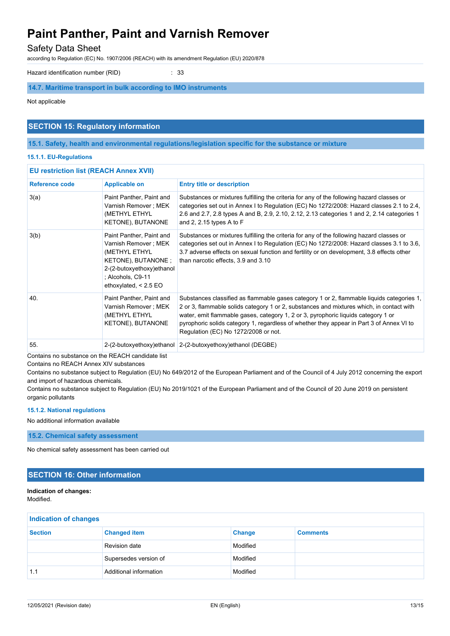### Safety Data Sheet

according to Regulation (EC) No. 1907/2006 (REACH) with its amendment Regulation (EU) 2020/878

Hazard identification number (RID) : 33

### **14.7. Maritime transport in bulk according to IMO instruments**

Not applicable

### **SECTION 15: Regulatory information**

**15.1. Safety, health and environmental regulations/legislation specific for the substance or mixture**

#### **15.1.1. EU-Regulations**

| <b>EU restriction list (REACH Annex XVII)</b> |                                                                                                                                                                       |                                                                                                                                                                                                                                                                                                                                                                                                                |
|-----------------------------------------------|-----------------------------------------------------------------------------------------------------------------------------------------------------------------------|----------------------------------------------------------------------------------------------------------------------------------------------------------------------------------------------------------------------------------------------------------------------------------------------------------------------------------------------------------------------------------------------------------------|
| <b>Reference code</b>                         | <b>Applicable on</b>                                                                                                                                                  | <b>Entry title or description</b>                                                                                                                                                                                                                                                                                                                                                                              |
| 3(a)                                          | Paint Panther, Paint and<br>Varnish Remover ; MEK<br>(METHYL ETHYL<br>KETONE), BUTANONE                                                                               | Substances or mixtures fulfilling the criteria for any of the following hazard classes or<br>categories set out in Annex I to Regulation (EC) No 1272/2008: Hazard classes 2.1 to 2.4,<br>2.6 and 2.7, 2.8 types A and B, 2.9, 2.10, 2.12, 2.13 categories 1 and 2, 2.14 categories 1<br>and 2, 2.15 types A to $F$                                                                                            |
| 3(b)                                          | Paint Panther, Paint and<br>Varnish Remover ; MEK<br>(METHYL ETHYL<br>KETONE), BUTANONE;<br>2-(2-butoxyethoxy)ethanol<br>: Alcohols, C9-11<br>ethoxylated, $< 2.5$ EO | Substances or mixtures fulfilling the criteria for any of the following hazard classes or<br>categories set out in Annex I to Regulation (EC) No 1272/2008: Hazard classes 3.1 to 3.6,<br>3.7 adverse effects on sexual function and fertility or on development, 3.8 effects other<br>than narcotic effects, 3.9 and 3.10                                                                                     |
| 40.                                           | Paint Panther, Paint and<br>Varnish Remover ; MEK<br>(METHYL ETHYL<br>KETONE), BUTANONE                                                                               | Substances classified as flammable gases category 1 or 2, flammable liquids categories 1,<br>2 or 3, flammable solids category 1 or 2, substances and mixtures which, in contact with<br>water, emit flammable gases, category 1, 2 or 3, pyrophoric liquids category 1 or<br>pyrophoric solids category 1, regardless of whether they appear in Part 3 of Annex VI to<br>Regulation (EC) No 1272/2008 or not. |
| 55.                                           |                                                                                                                                                                       | 2-(2-butoxyethoxy)ethanol 2-(2-butoxyethoxy)ethanol (DEGBE)                                                                                                                                                                                                                                                                                                                                                    |

Contains no substance on the REACH candidate list

Contains no REACH Annex XIV substances

Contains no substance subject to Regulation (EU) No 649/2012 of the European Parliament and of the Council of 4 July 2012 concerning the export and import of hazardous chemicals.

Contains no substance subject to Regulation (EU) No 2019/1021 of the European Parliament and of the Council of 20 June 2019 on persistent organic pollutants

#### **15.1.2. National regulations**

No additional information available

**15.2. Chemical safety assessment**

No chemical safety assessment has been carried out

### **SECTION 16: Other information**

## **Indication of changes:**

Modified.

| <b>Indication of changes</b> |                        |               |                 |
|------------------------------|------------------------|---------------|-----------------|
| <b>Section</b>               | <b>Changed item</b>    | <b>Change</b> | <b>Comments</b> |
|                              | Revision date          | Modified      |                 |
|                              | Supersedes version of  | Modified      |                 |
| 1.1                          | Additional information | Modified      |                 |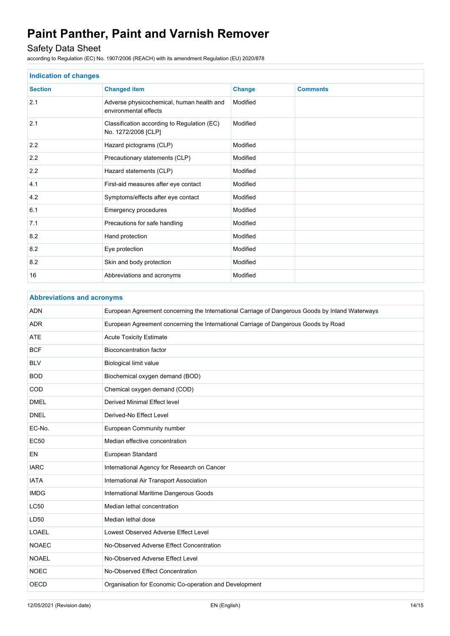## Safety Data Sheet

according to Regulation (EC) No. 1907/2006 (REACH) with its amendment Regulation (EU) 2020/878

| <b>Indication of changes</b> |                                                                    |               |                 |
|------------------------------|--------------------------------------------------------------------|---------------|-----------------|
| <b>Section</b>               | <b>Changed item</b>                                                | <b>Change</b> | <b>Comments</b> |
| 2.1                          | Adverse physicochemical, human health and<br>environmental effects | Modified      |                 |
| 2.1                          | Classification according to Regulation (EC)<br>No. 1272/2008 [CLP] | Modified      |                 |
| 2.2                          | Hazard pictograms (CLP)                                            | Modified      |                 |
| 2.2                          | Precautionary statements (CLP)                                     | Modified      |                 |
| 2.2                          | Hazard statements (CLP)                                            | Modified      |                 |
| 4.1                          | First-aid measures after eye contact                               | Modified      |                 |
| 4.2                          | Symptoms/effects after eye contact                                 | Modified      |                 |
| 6.1                          | Emergency procedures                                               | Modified      |                 |
| 7.1                          | Precautions for safe handling                                      | Modified      |                 |
| 8.2                          | Hand protection                                                    | Modified      |                 |
| 8.2                          | Eye protection                                                     | Modified      |                 |
| 8.2                          | Skin and body protection                                           | Modified      |                 |
| 16                           | Abbreviations and acronyms                                         | Modified      |                 |

| <b>Abbreviations and acronyms</b> |                                                                                                 |
|-----------------------------------|-------------------------------------------------------------------------------------------------|
| <b>ADN</b>                        | European Agreement concerning the International Carriage of Dangerous Goods by Inland Waterways |
| <b>ADR</b>                        | European Agreement concerning the International Carriage of Dangerous Goods by Road             |
| <b>ATE</b>                        | <b>Acute Toxicity Estimate</b>                                                                  |
| <b>BCF</b>                        | <b>Bioconcentration factor</b>                                                                  |
| <b>BLV</b>                        | <b>Biological limit value</b>                                                                   |
| <b>BOD</b>                        | Biochemical oxygen demand (BOD)                                                                 |
| COD                               | Chemical oxygen demand (COD)                                                                    |
| <b>DMEL</b>                       | <b>Derived Minimal Effect level</b>                                                             |
| <b>DNEL</b>                       | Derived-No Effect Level                                                                         |
| EC-No.                            | European Community number                                                                       |
| <b>EC50</b>                       | Median effective concentration                                                                  |
| <b>EN</b>                         | European Standard                                                                               |
| <b>IARC</b>                       | International Agency for Research on Cancer                                                     |
| <b>IATA</b>                       | International Air Transport Association                                                         |
| <b>IMDG</b>                       | International Maritime Dangerous Goods                                                          |
| <b>LC50</b>                       | Median lethal concentration                                                                     |
| LD50                              | Median lethal dose                                                                              |
| <b>LOAEL</b>                      | Lowest Observed Adverse Effect Level                                                            |
| <b>NOAEC</b>                      | No-Observed Adverse Effect Concentration                                                        |
| <b>NOAEL</b>                      | No-Observed Adverse Effect Level                                                                |
| <b>NOEC</b>                       | No-Observed Effect Concentration                                                                |
| <b>OECD</b>                       | Organisation for Economic Co-operation and Development                                          |